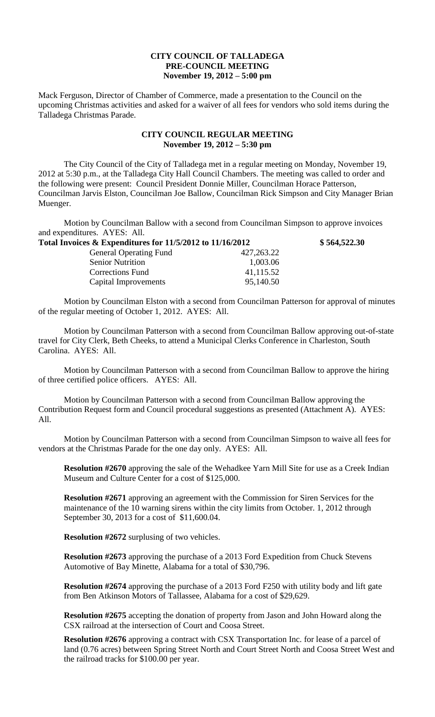## **CITY COUNCIL OF TALLADEGA PRE-COUNCIL MEETING November 19, 2012 – 5:00 pm**

Mack Ferguson, Director of Chamber of Commerce, made a presentation to the Council on the upcoming Christmas activities and asked for a waiver of all fees for vendors who sold items during the Talladega Christmas Parade.

## **CITY COUNCIL REGULAR MEETING November 19, 2012 – 5:30 pm**

The City Council of the City of Talladega met in a regular meeting on Monday, November 19, 2012 at 5:30 p.m., at the Talladega City Hall Council Chambers. The meeting was called to order and the following were present: Council President Donnie Miller, Councilman Horace Patterson, Councilman Jarvis Elston, Councilman Joe Ballow, Councilman Rick Simpson and City Manager Brian Muenger.

Motion by Councilman Ballow with a second from Councilman Simpson to approve invoices and expenditures. AYES: All.

| Total Invoices & Expenditures for 11/5/2012 to 11/16/2012 |              | \$564,522.30 |
|-----------------------------------------------------------|--------------|--------------|
| <b>General Operating Fund</b>                             | 427, 263. 22 |              |
| <b>Senior Nutrition</b>                                   | 1,003.06     |              |
| Corrections Fund                                          | 41,115.52    |              |
| Capital Improvements                                      | 95,140.50    |              |

Motion by Councilman Elston with a second from Councilman Patterson for approval of minutes of the regular meeting of October 1, 2012. AYES: All.

Motion by Councilman Patterson with a second from Councilman Ballow approving out-of-state travel for City Clerk, Beth Cheeks, to attend a Municipal Clerks Conference in Charleston, South Carolina. AYES: All.

Motion by Councilman Patterson with a second from Councilman Ballow to approve the hiring of three certified police officers. AYES: All.

Motion by Councilman Patterson with a second from Councilman Ballow approving the Contribution Request form and Council procedural suggestions as presented (Attachment A). AYES: All.

Motion by Councilman Patterson with a second from Councilman Simpson to waive all fees for vendors at the Christmas Parade for the one day only. AYES: All.

**Resolution #2670** approving the sale of the Wehadkee Yarn Mill Site for use as a Creek Indian Museum and Culture Center for a cost of \$125,000.

**Resolution #2671** approving an agreement with the Commission for Siren Services for the maintenance of the 10 warning sirens within the city limits from October. 1, 2012 through September 30, 2013 for a cost of \$11,600.04.

**Resolution #2672** surplusing of two vehicles.

**Resolution #2673** approving the purchase of a 2013 Ford Expedition from Chuck Stevens Automotive of Bay Minette, Alabama for a total of \$30,796.

**Resolution #2674** approving the purchase of a 2013 Ford F250 with utility body and lift gate from Ben Atkinson Motors of Tallassee, Alabama for a cost of \$29,629.

**Resolution #2675** accepting the donation of property from Jason and John Howard along the CSX railroad at the intersection of Court and Coosa Street.

**Resolution #2676** approving a contract with CSX Transportation Inc. for lease of a parcel of land (0.76 acres) between Spring Street North and Court Street North and Coosa Street West and the railroad tracks for \$100.00 per year.